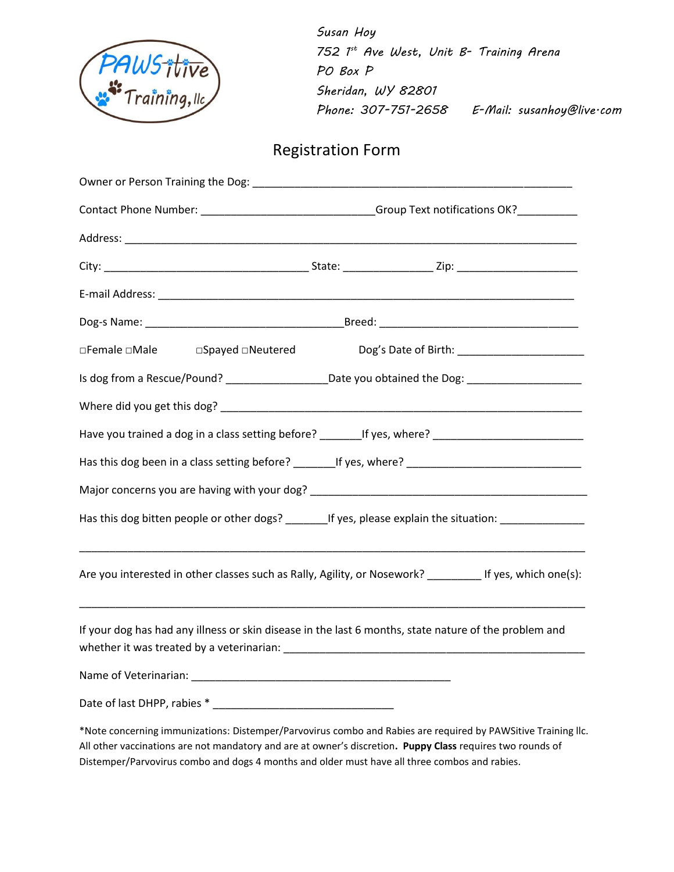

*Susan Hoy 752 1st Ave West, Unit B- Training Arena PO Box P Sheridan, WY 82801 Phone: 307-751-2658 E-Mail: susanhoy@live.com*

## Registration Form

| Contact Phone Number: _______________________________Group Text notifications OK?___________               |  |                                                                                                                                                                                                                                  |
|------------------------------------------------------------------------------------------------------------|--|----------------------------------------------------------------------------------------------------------------------------------------------------------------------------------------------------------------------------------|
|                                                                                                            |  |                                                                                                                                                                                                                                  |
|                                                                                                            |  |                                                                                                                                                                                                                                  |
|                                                                                                            |  |                                                                                                                                                                                                                                  |
|                                                                                                            |  |                                                                                                                                                                                                                                  |
| □Female □Male □Spayed □Neutered                                                                            |  |                                                                                                                                                                                                                                  |
| Is dog from a Rescue/Pound? _______________________Date you obtained the Dog: _____________________        |  |                                                                                                                                                                                                                                  |
|                                                                                                            |  |                                                                                                                                                                                                                                  |
|                                                                                                            |  |                                                                                                                                                                                                                                  |
| Has this dog been in a class setting before? ________If yes, where? ________________________________       |  |                                                                                                                                                                                                                                  |
|                                                                                                            |  |                                                                                                                                                                                                                                  |
| Has this dog bitten people or other dogs? _________If yes, please explain the situation: _________________ |  |                                                                                                                                                                                                                                  |
| Are you interested in other classes such as Rally, Agility, or Nosework? ________ If yes, which one(s):    |  |                                                                                                                                                                                                                                  |
| If your dog has had any illness or skin disease in the last 6 months, state nature of the problem and      |  |                                                                                                                                                                                                                                  |
|                                                                                                            |  |                                                                                                                                                                                                                                  |
|                                                                                                            |  |                                                                                                                                                                                                                                  |
|                                                                                                            |  | *Note concerning immunizations: Distemper/Parvovirus combo and Rabies are required by PAWSitive Training Ilc.<br>the contract of the contract of the contract of the contract of the contract of the contract of the contract of |

All other vaccinations are not mandatory and are at owner's discretion**. Puppy Class** requires two rounds of Distemper/Parvovirus combo and dogs 4 months and older must have all three combos and rabies.